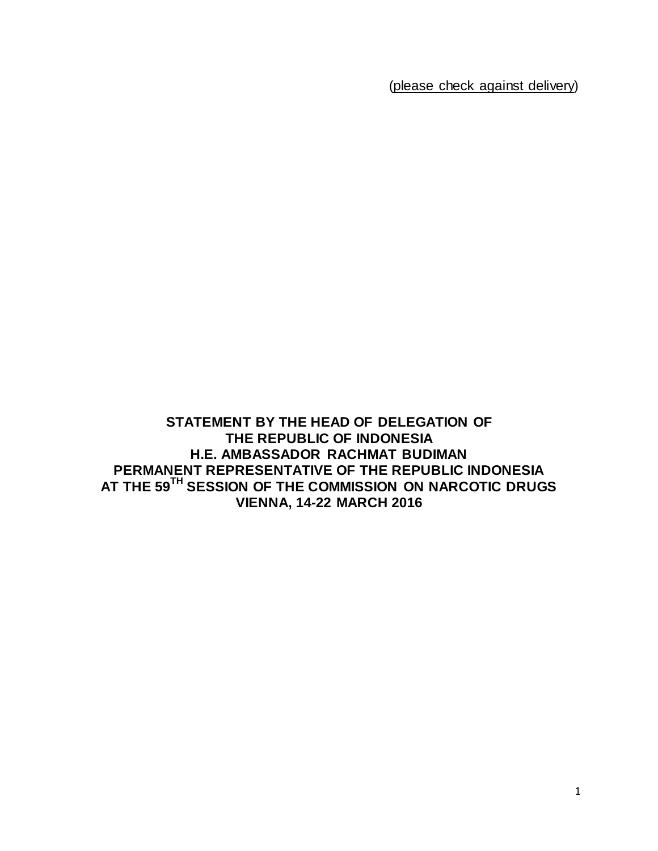(please check against delivery)

**STATEMENT BY THE HEAD OF DELEGATION OF THE REPUBLIC OF INDONESIA H.E. AMBASSADOR RACHMAT BUDIMAN PERMANENT REPRESENTATIVE OF THE REPUBLIC INDONESIA AT THE 59TH SESSION OF THE COMMISSION ON NARCOTIC DRUGS VIENNA, 14-22 MARCH 2016**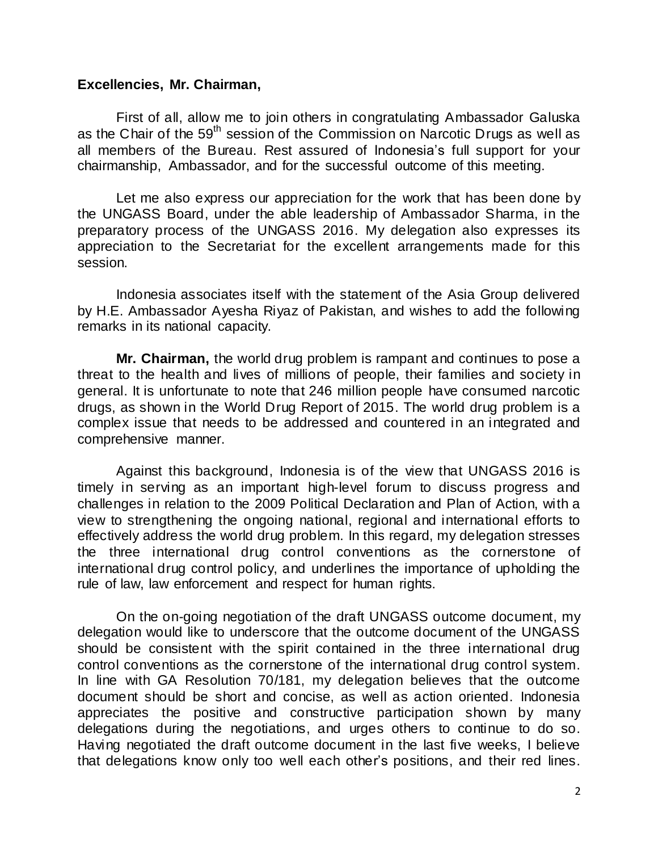## **Excellencies, Mr. Chairman,**

First of all, allow me to join others in congratulating Ambassador Galuska as the Chair of the  $59<sup>th</sup>$  session of the Commission on Narcotic Drugs as well as all members of the Bureau. Rest assured of Indonesia's full support for your chairmanship, Ambassador, and for the successful outcome of this meeting.

Let me also express our appreciation for the work that has been done by the UNGASS Board, under the able leadership of Ambassador Sharma, in the preparatory process of the UNGASS 2016. My delegation also expresses its appreciation to the Secretariat for the excellent arrangements made for this session.

Indonesia associates itself with the statement of the Asia Group delivered by H.E. Ambassador Ayesha Riyaz of Pakistan, and wishes to add the following remarks in its national capacity.

**Mr. Chairman,** the world drug problem is rampant and continues to pose a threat to the health and lives of millions of people, their families and society in general. It is unfortunate to note that 246 million people have consumed narcotic drugs, as shown in the World Drug Report of 2015. The world drug problem is a complex issue that needs to be addressed and countered in an integrated and comprehensive manner.

Against this background, Indonesia is of the view that UNGASS 2016 is timely in serving as an important high-level forum to discuss progress and challenges in relation to the 2009 Political Declaration and Plan of Action, with a view to strengthening the ongoing national, regional and international efforts to effectively address the world drug problem. In this regard, my delegation stresses the three international drug control conventions as the cornerstone of international drug control policy, and underlines the importance of upholding the rule of law, law enforcement and respect for human rights.

On the on-going negotiation of the draft UNGASS outcome document, my delegation would like to underscore that the outcome document of the UNGASS should be consistent with the spirit contained in the three international drug control conventions as the cornerstone of the international drug control system. In line with GA Resolution 70/181, my delegation believes that the outcome document should be short and concise, as well as action oriented. Indonesia appreciates the positive and constructive participation shown by many delegations during the negotiations, and urges others to continue to do so. Having negotiated the draft outcome document in the last five weeks, I believe that delegations know only too well each other's positions, and their red lines.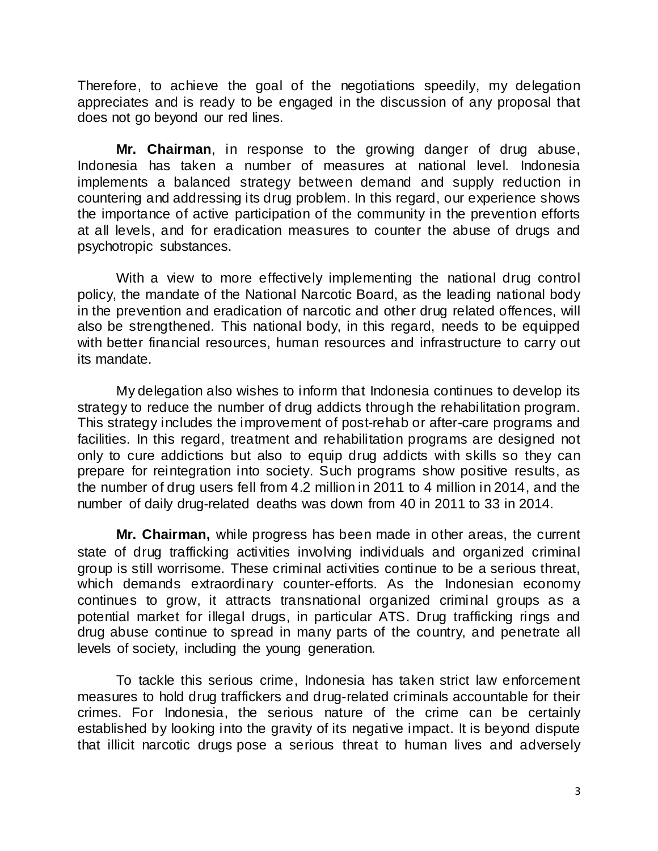Therefore, to achieve the goal of the negotiations speedily, my delegation appreciates and is ready to be engaged in the discussion of any proposal that does not go beyond our red lines.

**Mr. Chairman**, in response to the growing danger of drug abuse, Indonesia has taken a number of measures at national level. Indonesia implements a balanced strategy between demand and supply reduction in countering and addressing its drug problem. In this regard, our experience shows the importance of active participation of the community in the prevention efforts at all levels, and for eradication measures to counter the abuse of drugs and psychotropic substances.

With a view to more effectively implementing the national drug control policy, the mandate of the National Narcotic Board, as the leading national body in the prevention and eradication of narcotic and other drug related offences, will also be strengthened. This national body, in this regard, needs to be equipped with better financial resources, human resources and infrastructure to carry out its mandate.

My delegation also wishes to inform that Indonesia continues to develop its strategy to reduce the number of drug addicts through the rehabilitation program. This strategy includes the improvement of post-rehab or after-care programs and facilities. In this regard, treatment and rehabilitation programs are designed not only to cure addictions but also to equip drug addicts with skills so they can prepare for reintegration into society. Such programs show positive results, as the number of drug users fell from 4.2 million in 2011 to 4 million in 2014, and the number of daily drug-related deaths was down from 40 in 2011 to 33 in 2014.

**Mr. Chairman,** while progress has been made in other areas, the current state of drug trafficking activities involving individuals and organized criminal group is still worrisome. These criminal activities continue to be a serious threat, which demands extraordinary counter-efforts. As the Indonesian economy continues to grow, it attracts transnational organized criminal groups as a potential market for illegal drugs, in particular ATS. Drug trafficking rings and drug abuse continue to spread in many parts of the country, and penetrate all levels of society, including the young generation.

To tackle this serious crime, Indonesia has taken strict law enforcement measures to hold drug traffickers and drug-related criminals accountable for their crimes. For Indonesia, the serious nature of the crime can be certainly established by looking into the gravity of its negative impact. It is beyond dispute that illicit narcotic drugs pose a serious threat to human lives and adversely